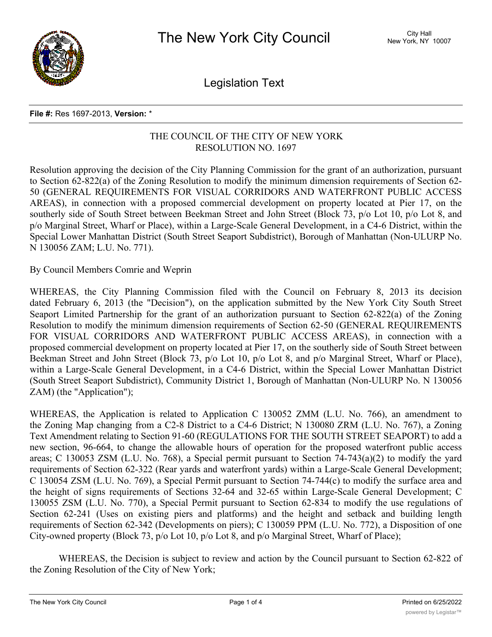

Legislation Text

## **File #:** Res 1697-2013, **Version:** \*

## THE COUNCIL OF THE CITY OF NEW YORK RESOLUTION NO. 1697

Resolution approving the decision of the City Planning Commission for the grant of an authorization, pursuant to Section 62-822(a) of the Zoning Resolution to modify the minimum dimension requirements of Section 62- 50 (GENERAL REQUIREMENTS FOR VISUAL CORRIDORS AND WATERFRONT PUBLIC ACCESS AREAS), in connection with a proposed commercial development on property located at Pier 17, on the southerly side of South Street between Beekman Street and John Street (Block 73, p/o Lot 10, p/o Lot 8, and p/o Marginal Street, Wharf or Place), within a Large-Scale General Development, in a C4-6 District, within the Special Lower Manhattan District (South Street Seaport Subdistrict), Borough of Manhattan (Non-ULURP No. N 130056 ZAM; L.U. No. 771).

By Council Members Comrie and Weprin

WHEREAS, the City Planning Commission filed with the Council on February 8, 2013 its decision dated February 6, 2013 (the "Decision"), on the application submitted by the New York City South Street Seaport Limited Partnership for the grant of an authorization pursuant to Section 62-822(a) of the Zoning Resolution to modify the minimum dimension requirements of Section 62-50 (GENERAL REQUIREMENTS FOR VISUAL CORRIDORS AND WATERFRONT PUBLIC ACCESS AREAS), in connection with a proposed commercial development on property located at Pier 17, on the southerly side of South Street between Beekman Street and John Street (Block 73, p/o Lot 10, p/o Lot 8, and p/o Marginal Street, Wharf or Place), within a Large-Scale General Development, in a C4-6 District, within the Special Lower Manhattan District (South Street Seaport Subdistrict), Community District 1, Borough of Manhattan (Non-ULURP No. N 130056 ZAM) (the "Application");

WHEREAS, the Application is related to Application C 130052 ZMM (L.U. No. 766), an amendment to the Zoning Map changing from a C2-8 District to a C4-6 District; N 130080 ZRM (L.U. No. 767), a Zoning Text Amendment relating to Section 91-60 (REGULATIONS FOR THE SOUTH STREET SEAPORT) to add a new section, 96-664, to change the allowable hours of operation for the proposed waterfront public access areas; C 130053 ZSM (L.U. No. 768), a Special permit pursuant to Section 74-743(a)(2) to modify the yard requirements of Section 62-322 (Rear yards and waterfront yards) within a Large-Scale General Development; C 130054 ZSM (L.U. No. 769), a Special Permit pursuant to Section 74-744(c) to modify the surface area and the height of signs requirements of Sections 32-64 and 32-65 within Large-Scale General Development; C 130055 ZSM (L.U. No. 770), a Special Permit pursuant to Section 62-834 to modify the use regulations of Section 62-241 (Uses on existing piers and platforms) and the height and setback and building length requirements of Section 62-342 (Developments on piers); C 130059 PPM (L.U. No. 772), a Disposition of one City-owned property (Block 73, p/o Lot 10, p/o Lot 8, and p/o Marginal Street, Wharf of Place);

WHEREAS, the Decision is subject to review and action by the Council pursuant to Section 62-822 of the Zoning Resolution of the City of New York;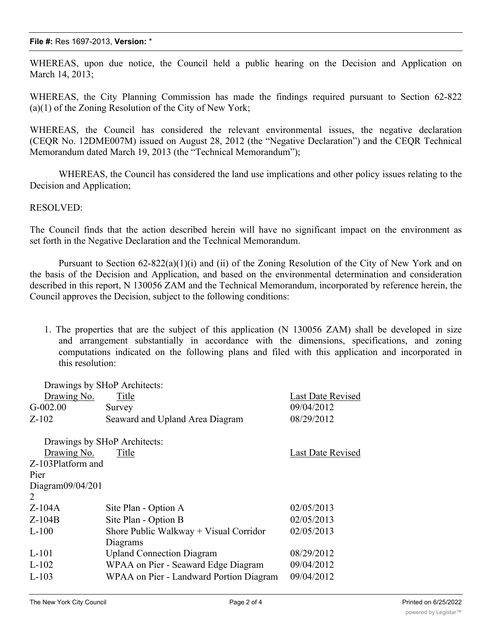## **File #:** Res 1697-2013, **Version:** \*

WHEREAS, upon due notice, the Council held a public hearing on the Decision and Application on March 14, 2013;

WHEREAS, the City Planning Commission has made the findings required pursuant to Section 62-822 (a)(1) of the Zoning Resolution of the City of New York;

WHEREAS, the Council has considered the relevant environmental issues, the negative declaration (CEQR No. 12DME007M) issued on August 28, 2012 (the "Negative Declaration") and the CEQR Technical Memorandum dated March 19, 2013 (the "Technical Memorandum");

WHEREAS, the Council has considered the land use implications and other policy issues relating to the Decision and Application;

## RESOLVED:

The Council finds that the action described herein will have no significant impact on the environment as set forth in the Negative Declaration and the Technical Memorandum.

Pursuant to Section 62-822(a)(1)(i) and (ii) of the Zoning Resolution of the City of New York and on the basis of the Decision and Application, and based on the environmental determination and consideration described in this report, N 130056 ZAM and the Technical Memorandum, incorporated by reference herein, the Council approves the Decision, subject to the following conditions:

1. The properties that are the subject of this application (N 130056 ZAM) shall be developed in size and arrangement substantially in accordance with the dimensions, specifications, and zoning computations indicated on the following plans and filed with this application and incorporated in this resolution:

| Drawings by SHoP Architects: |                                          |                          |  |
|------------------------------|------------------------------------------|--------------------------|--|
| Drawing No.                  | Title                                    | Last Date Revised        |  |
| $G-002.00$                   | Survey                                   | 09/04/2012               |  |
| $Z-102$                      | Seaward and Upland Area Diagram          | 08/29/2012               |  |
|                              | Drawings by SHoP Architects:             |                          |  |
| Drawing No.                  | Title                                    | <b>Last Date Revised</b> |  |
| Z-103Platform and            |                                          |                          |  |
| Pier                         |                                          |                          |  |
| Diagram $09/04/201$          |                                          |                          |  |
| 2                            |                                          |                          |  |
| $Z-104A$                     | Site Plan - Option A                     | 02/05/2013               |  |
| $Z-104B$                     | Site Plan - Option B                     | 02/05/2013               |  |
| $L-100$                      | Shore Public Walkway $+$ Visual Corridor | 02/05/2013               |  |
|                              | Diagrams                                 |                          |  |
| L-101                        | <b>Upland Connection Diagram</b>         | 08/29/2012               |  |
| $L-102$                      | WPAA on Pier - Seaward Edge Diagram      | 09/04/2012               |  |
| $L-103$                      | WPAA on Pier - Landward Portion Diagram  | 09/04/2012               |  |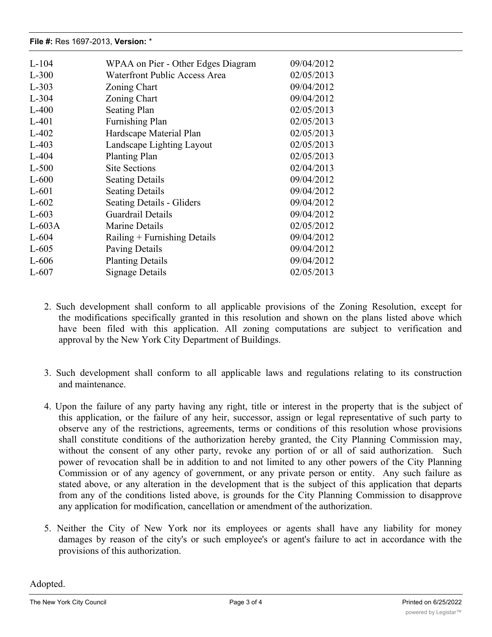| $L-104$  | WPAA on Pier - Other Edges Diagram   | 09/04/2012 |
|----------|--------------------------------------|------------|
| $L-300$  | <b>Waterfront Public Access Area</b> | 02/05/2013 |
| $L-303$  | Zoning Chart                         | 09/04/2012 |
| $L-304$  | Zoning Chart                         | 09/04/2012 |
| $L-400$  | <b>Seating Plan</b>                  | 02/05/2013 |
| $L-401$  | <b>Furnishing Plan</b>               | 02/05/2013 |
| $L-402$  | Hardscape Material Plan              | 02/05/2013 |
| $L-403$  | Landscape Lighting Layout            | 02/05/2013 |
| $L-404$  | <b>Planting Plan</b>                 | 02/05/2013 |
| $L-500$  | <b>Site Sections</b>                 | 02/04/2013 |
| $L-600$  | <b>Seating Details</b>               | 09/04/2012 |
| $L-601$  | <b>Seating Details</b>               | 09/04/2012 |
| $L-602$  | <b>Seating Details - Gliders</b>     | 09/04/2012 |
| $L-603$  | <b>Guardrail Details</b>             | 09/04/2012 |
| $L-603A$ | Marine Details                       | 02/05/2012 |
| $L-604$  | Railing $+$ Furnishing Details       | 09/04/2012 |
| $L-605$  | Paving Details                       | 09/04/2012 |
| $L-606$  | <b>Planting Details</b>              | 09/04/2012 |
| $L-607$  | Signage Details                      | 02/05/2013 |

L-101 Upland Connection Diagram 08/29/2012

- 2. Such development shall conform to all applicable provisions of the Zoning Resolution, except for the modifications specifically granted in this resolution and shown on the plans listed above which have been filed with this application. All zoning computations are subject to verification and approval by the New York City Department of Buildings.
- 3. Such development shall conform to all applicable laws and regulations relating to its construction and maintenance.
- 4. Upon the failure of any party having any right, title or interest in the property that is the subject of this application, or the failure of any heir, successor, assign or legal representative of such party to observe any of the restrictions, agreements, terms or conditions of this resolution whose provisions shall constitute conditions of the authorization hereby granted, the City Planning Commission may, without the consent of any other party, revoke any portion of or all of said authorization. Such power of revocation shall be in addition to and not limited to any other powers of the City Planning Commission or of any agency of government, or any private person or entity. Any such failure as stated above, or any alteration in the development that is the subject of this application that departs from any of the conditions listed above, is grounds for the City Planning Commission to disapprove any application for modification, cancellation or amendment of the authorization.
- 5. Neither the City of New York nor its employees or agents shall have any liability for money damages by reason of the city's or such employee's or agent's failure to act in accordance with the provisions of this authorization.

Adopted.